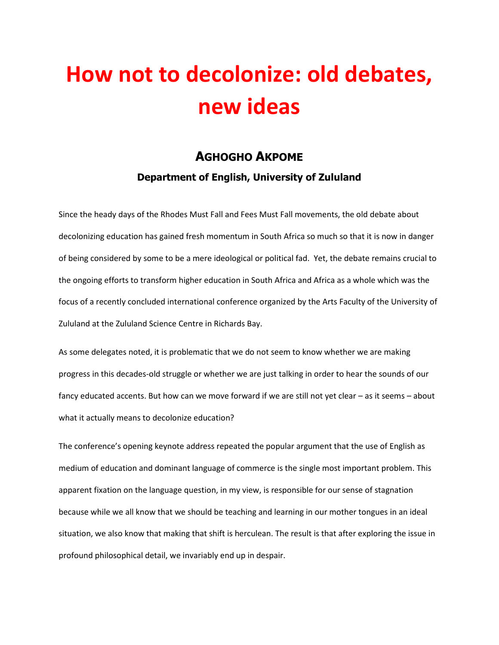## **How not to decolonize: old debates, new ideas**

## **AGHOGHO AKPOME**

## **Department of English, University of Zululand**

Since the heady days of the Rhodes Must Fall and Fees Must Fall movements, the old debate about decolonizing education has gained fresh momentum in South Africa so much so that it is now in danger of being considered by some to be a mere ideological or political fad. Yet, the debate remains crucial to the ongoing efforts to transform higher education in South Africa and Africa as a whole which was the focus of a recently concluded international conference organized by the Arts Faculty of the University of Zululand at the Zululand Science Centre in Richards Bay.

As some delegates noted, it is problematic that we do not seem to know whether we are making progress in this decades-old struggle or whether we are just talking in order to hear the sounds of our fancy educated accents. But how can we move forward if we are still not yet clear – as it seems – about what it actually means to decolonize education?

The conference's opening keynote address repeated the popular argument that the use of English as medium of education and dominant language of commerce is the single most important problem. This apparent fixation on the language question, in my view, is responsible for our sense of stagnation because while we all know that we should be teaching and learning in our mother tongues in an ideal situation, we also know that making that shift is herculean. The result is that after exploring the issue in profound philosophical detail, we invariably end up in despair.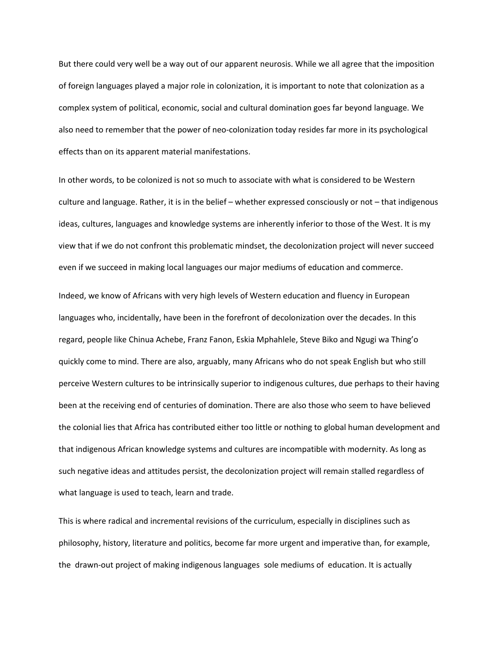But there could very well be a way out of our apparent neurosis. While we all agree that the imposition of foreign languages played a major role in colonization, it is important to note that colonization as a complex system of political, economic, social and cultural domination goes far beyond language. We also need to remember that the power of neo-colonization today resides far more in its psychological effects than on its apparent material manifestations.

In other words, to be colonized is not so much to associate with what is considered to be Western culture and language. Rather, it is in the belief – whether expressed consciously or not – that indigenous ideas, cultures, languages and knowledge systems are inherently inferior to those of the West. It is my view that if we do not confront this problematic mindset, the decolonization project will never succeed even if we succeed in making local languages our major mediums of education and commerce.

Indeed, we know of Africans with very high levels of Western education and fluency in European languages who, incidentally, have been in the forefront of decolonization over the decades. In this regard, people like Chinua Achebe, Franz Fanon, Eskia Mphahlele, Steve Biko and Ngugi wa Thing'o quickly come to mind. There are also, arguably, many Africans who do not speak English but who still perceive Western cultures to be intrinsically superior to indigenous cultures, due perhaps to their having been at the receiving end of centuries of domination. There are also those who seem to have believed the colonial lies that Africa has contributed either too little or nothing to global human development and that indigenous African knowledge systems and cultures are incompatible with modernity. As long as such negative ideas and attitudes persist, the decolonization project will remain stalled regardless of what language is used to teach, learn and trade.

This is where radical and incremental revisions of the curriculum, especially in disciplines such as philosophy, history, literature and politics, become far more urgent and imperative than, for example, the drawn-out project of making indigenous languages sole mediums of education. It is actually